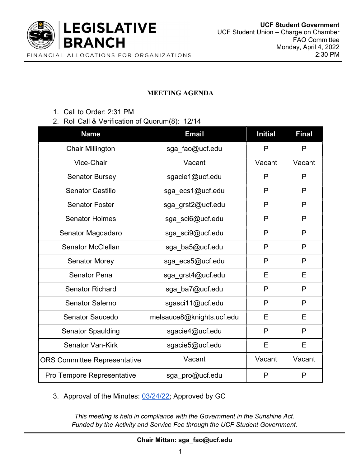

## MEETING AGENDA

- 1. Call to Order: 2:31 PM
- 2. Roll Call & Verification of Quorum(8): 12/14

| <b>Name</b>                         | <b>Email</b>              | <b>Initial</b> | <b>Final</b> |
|-------------------------------------|---------------------------|----------------|--------------|
| <b>Chair Millington</b>             | sga_fao@ucf.edu           | P              | P            |
| Vice-Chair                          | Vacant                    | Vacant         | Vacant       |
| <b>Senator Bursey</b>               | sgacie1@ucf.edu           | P              | P            |
| <b>Senator Castillo</b>             | sga_ecs1@ucf.edu          | P              | P            |
| <b>Senator Foster</b>               | sga_grst2@ucf.edu         | P              | P            |
| <b>Senator Holmes</b>               | sga_sci6@ucf.edu          | P              | P            |
| Senator Magdadaro                   | sga_sci9@ucf.edu          | $\mathsf{P}$   | P            |
| <b>Senator McClellan</b>            | sga_ba5@ucf.edu           | P              | $\mathsf{P}$ |
| <b>Senator Morey</b>                | sga_ecs5@ucf.edu          | P              | P            |
| <b>Senator Pena</b>                 | sga_grst4@ucf.edu         | Е              | E            |
| <b>Senator Richard</b>              | sga_ba7@ucf.edu           | P              | P            |
| <b>Senator Salerno</b>              | sgasci11@ucf.edu          | P              | P            |
| <b>Senator Saucedo</b>              | melsauce8@knights.ucf.edu | E              | E            |
| <b>Senator Spaulding</b>            | sgacie4@ucf.edu           | P              | P            |
| <b>Senator Van-Kirk</b>             | sgacie5@ucf.edu           | E              | E            |
| <b>ORS Committee Representative</b> | Vacant                    | Vacant         | Vacant       |
| <b>Pro Tempore Representative</b>   | sga_pro@ucf.edu           | P              | P            |

3. Approval of the Minutes: 03/24/22; Approved by GC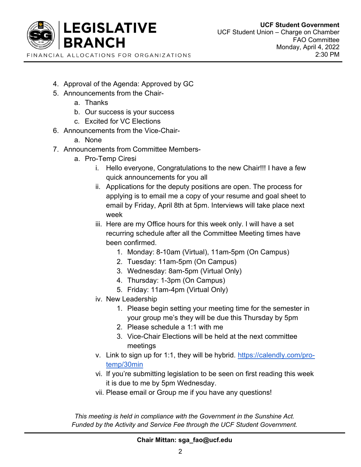

- 4. Approval of the Agenda: Approved by GC
- 5. Announcements from the Chair
	- a. Thanks
	- b. Our success is your success
	- c. Excited for VC Elections
- 6. Announcements from the Vice-Chair
	- a. None
- 7. Announcements from Committee Members
	- a. Pro-Temp Ciresi
		- i. Hello everyone, Congratulations to the new Chair!!! I have a few quick announcements for you all
		- ii. Applications for the deputy positions are open. The process for applying is to email me a copy of your resume and goal sheet to email by Friday, April 8th at 5pm. Interviews will take place next week
		- iii. Here are my Office hours for this week only. I will have a set recurring schedule after all the Committee Meeting times have been confirmed.
			- 1. Monday: 8-10am (Virtual), 11am-5pm (On Campus)
			- 2. Tuesday: 11am-5pm (On Campus)
			- 3. Wednesday: 8am-5pm (Virtual Only)
			- 4. Thursday: 1-3pm (On Campus)
			- 5. Friday: 11am-4pm (Virtual Only)
		- iv. New Leadership
			- 1. Please begin setting your meeting time for the semester in your group me's they will be due this Thursday by 5pm
			- 2. Please schedule a 1:1 with me
			- 3. Vice-Chair Elections will be held at the next committee meetings
		- v. Link to sign up for 1:1, they will be hybrid. https://calendly.com/protemp/30min
		- vi. If you're submitting legislation to be seen on first reading this week it is due to me by 5pm Wednesday.
		- vii. Please email or Group me if you have any questions!

This meeting is held in compliance with the Government in the Sunshine Act. Funded by the Activity and Service Fee through the UCF Student Government.

Chair Mittan: sga\_fao@ucf.edu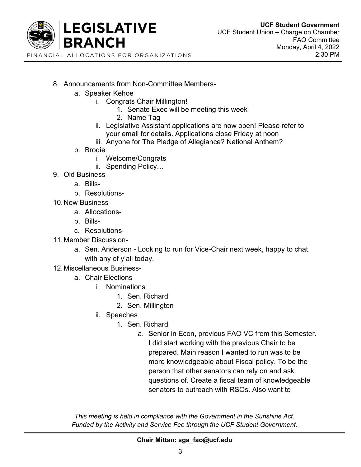

- 8. Announcements from Non-Committee Members
	- a. Speaker Kehoe
		- i. Congrats Chair Millington!
			- 1. Senate Exec will be meeting this week
			- 2. Name Tag
		- ii. Legislative Assistant applications are now open! Please refer to your email for details. Applications close Friday at noon
		- iii. Anyone for The Pledge of Allegiance? National Anthem?
	- b. Brodie
		- i. Welcome/Congrats
		- ii. Spending Policy…
- 9. Old Business
	- a. Bills-
	- b. Resolutions-
- 10. New Business
	- a. Allocations-
	- b. Bills-
	- c. Resolutions-
- 11. Member Discussion
	- a. Sen. Anderson Looking to run for Vice-Chair next week, happy to chat with any of y'all today.
- 12. Miscellaneous Business
	- a. Chair Elections
		- i. Nominations
			- 1. Sen. Richard
			- 2. Sen. Millington
		- ii. Speeches
			- 1. Sen. Richard
				- a. Senior in Econ, previous FAO VC from this Semester. I did start working with the previous Chair to be prepared. Main reason I wanted to run was to be more knowledgeable about Fiscal policy. To be the person that other senators can rely on and ask questions of. Create a fiscal team of knowledgeable senators to outreach with RSOs. Also want to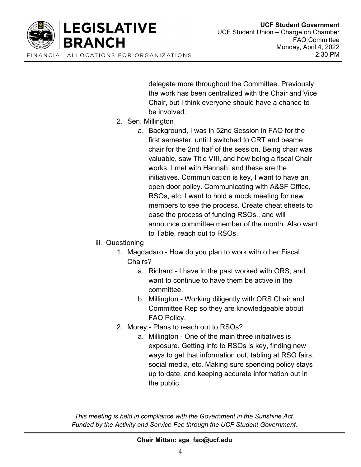

delegate more throughout the Committee. Previously the work has been centralized with the Chair and Vice Chair, but I think everyone should have a chance to be involved.

- 2. Sen. Millington
	- a. Background, I was in 52nd Session in FAO for the first semester, until I switched to CRT and beame chair for the 2nd half of the session. Being chair was valuable, saw Title VIII, and how being a fiscal Chair works. I met with Hannah, and these are the initiatives. Communication is key, I want to have an open door policy. Communicating with A&SF Office, RSOs, etc. I want to hold a mock meeting for new members to see the process. Create cheat sheets to ease the process of funding RSOs., and will announce committee member of the month. Also want to Table, reach out to RSOs.
- iii. Questioning
	- 1. Magdadaro How do you plan to work with other Fiscal Chairs?
		- a. Richard I have in the past worked with ORS, and want to continue to have them be active in the committee.
		- b. Millington Working diligently with ORS Chair and Committee Rep so they are knowledgeable about FAO Policy.
	- 2. Morey Plans to reach out to RSOs?
		- a. Millington One of the main three initiatives is exposure. Getting info to RSOs is key, finding new ways to get that information out, tabling at RSO fairs, social media, etc. Making sure spending policy stays up to date, and keeping accurate information out in the public.

This meeting is held in compliance with the Government in the Sunshine Act. Funded by the Activity and Service Fee through the UCF Student Government.

Chair Mittan: sga\_fao@ucf.edu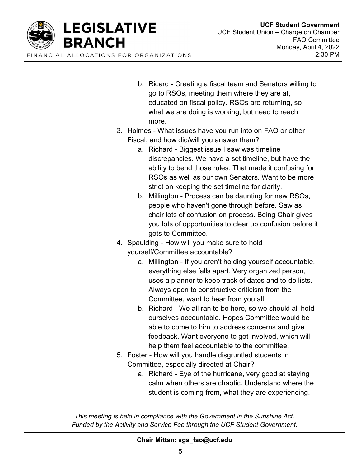

- b. Ricard Creating a fiscal team and Senators willing to go to RSOs, meeting them where they are at, educated on fiscal policy. RSOs are returning, so what we are doing is working, but need to reach more.
- 3. Holmes What issues have you run into on FAO or other Fiscal, and how did/will you answer them?
	- a. Richard Biggest issue I saw was timeline discrepancies. We have a set timeline, but have the ability to bend those rules. That made it confusing for RSOs as well as our own Senators. Want to be more strict on keeping the set timeline for clarity.
	- b. Millington Process can be daunting for new RSOs, people who haven't gone through before. Saw as chair lots of confusion on process. Being Chair gives you lots of opportunities to clear up confusion before it gets to Committee.
- 4. Spaulding How will you make sure to hold yourself/Committee accountable?
	- a. Millington If you aren't holding yourself accountable, everything else falls apart. Very organized person, uses a planner to keep track of dates and to-do lists. Always open to constructive criticism from the Committee, want to hear from you all.
	- b. Richard We all ran to be here, so we should all hold ourselves accountable. Hopes Committee would be able to come to him to address concerns and give feedback. Want everyone to get involved, which will help them feel accountable to the committee.
- 5. Foster How will you handle disgruntled students in Committee, especially directed at Chair?
	- a. Richard Eye of the hurricane, very good at staying calm when others are chaotic. Understand where the student is coming from, what they are experiencing.

This meeting is held in compliance with the Government in the Sunshine Act. Funded by the Activity and Service Fee through the UCF Student Government.

Chair Mittan: sga\_fao@ucf.edu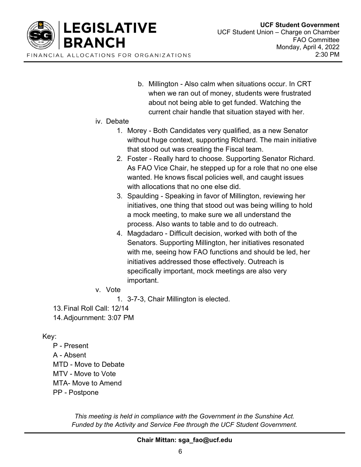

b. Millington - Also calm when situations occur. In CRT when we ran out of money, students were frustrated about not being able to get funded. Watching the current chair handle that situation stayed with her.

## iv. Debate

- 1. Morey Both Candidates very qualified, as a new Senator without huge context, supporting RIchard. The main initiative that stood out was creating the Fiscal team.
- 2. Foster Really hard to choose. Supporting Senator Richard. As FAO Vice Chair, he stepped up for a role that no one else wanted. He knows fiscal policies well, and caught issues with allocations that no one else did.
- 3. Spaulding Speaking in favor of Millington, reviewing her initiatives, one thing that stood out was being willing to hold a mock meeting, to make sure we all understand the process. Also wants to table and to do outreach.
- 4. Magdadaro Difficult decision, worked with both of the Senators. Supporting Millington, her initiatives resonated with me, seeing how FAO functions and should be led, her initiatives addressed those effectively. Outreach is specifically important, mock meetings are also very important.
- v. Vote
	- 1. 3-7-3, Chair Millington is elected.
- 13. Final Roll Call: 12/14
- 14. Adjournment: 3:07 PM

## Key:

P - Present A - Absent MTD - Move to Debate MTV - Move to Vote MTA- Move to Amend PP - Postpone